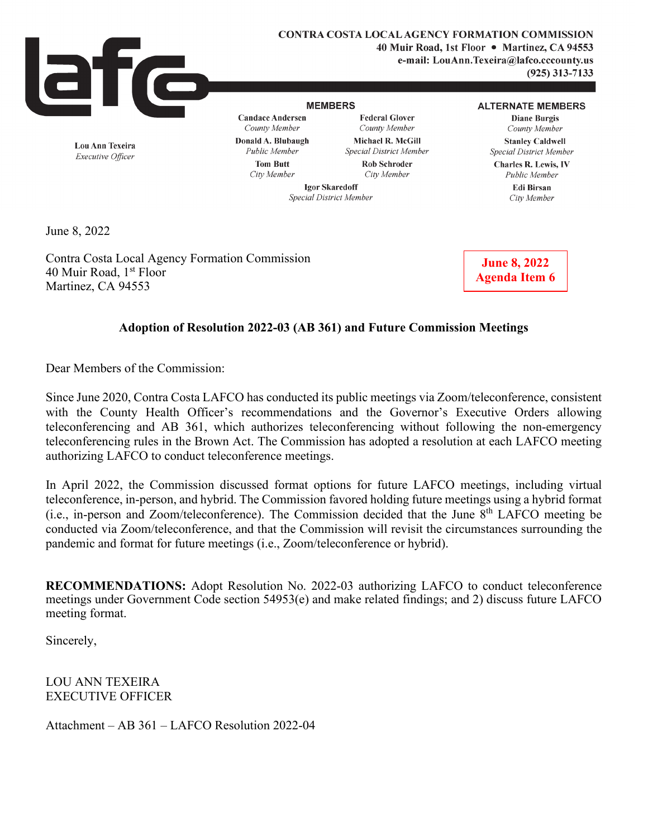

**Lou Ann Texeira**  *Executive Officer* 

**CONTRA COSTA LOCAL AGENCY FORMATION COMMISSION 40 Muir Road, 1st Floor** • **Martinez, CA 94553** 

**e-mail: LouAnn.Texeira@lafco.cccounty.us** 

**(925) 313-7133** 

#### **MEMBERS**

**Candace Andersen**  *County Member*  **Donald A. Blubaugh**  *Public Member*  **Tom Butt**  *City Member* 

**Federal Glover**  *County Member*  **Michael R. McGill**  *Special District Member*  **Rob Schroder** 

*City Member* 

## **ALTERNATE MEMBERS**

**Diane Burgis**  *County Member*  **Stanley Caldwell**  *Special District Member* 

**Charles R. Lewis,** IV *Public Member*  **Edi Birsan** 

*City Member* 

**Igor Skaredoff**  *Special District Member* 

June 8, 2022

Contra Costa Local Agency Formation Commission 40 Muir Road, 1<sup>st</sup> Floor Martinez, CA 94553

**June 8, 2022 Agenda Item 6** 

## **Adoption of Resolution 2022-03 (AB 361) and Future Commission Meetings**

Dear Members of the Commission:

Since June 2020, Contra Costa LAFCO has conducted its public meetings via Zoom/teleconference, consistent with the County Health Officer's recommendations and the Governor's Executive Orders allowing teleconferencing and AB 361, which authorizes teleconferencing without following the non-emergency teleconferencing rules in the Brown Act. The Commission has adopted a resolution at each LAFCO meeting authorizing LAFCO to conduct teleconference meetings.

In April 2022, the Commission discussed format options for future LAFCO meetings, including virtual teleconference, in-person, and hybrid. The Commission favored holding future meetings using a hybrid format (i.e., in-person and Zoom/teleconference). The Commission decided that the June 8th LAFCO meeting be conducted via Zoom/teleconference, and that the Commission will revisit the circumstances surrounding the pandemic and format for future meetings (i.e., Zoom/teleconference or hybrid).

**RECOMMENDATIONS:** Adopt Resolution No. 2022-03 authorizing LAFCO to conduct teleconference meetings under Government Code section 54953(e) and make related findings; and 2) discuss future LAFCO meeting format.

Sincerely,

LOU ANN TEXEIRA EXECUTIVE OFFICER

Attachment – AB 361 – LAFCO Resolution 2022-04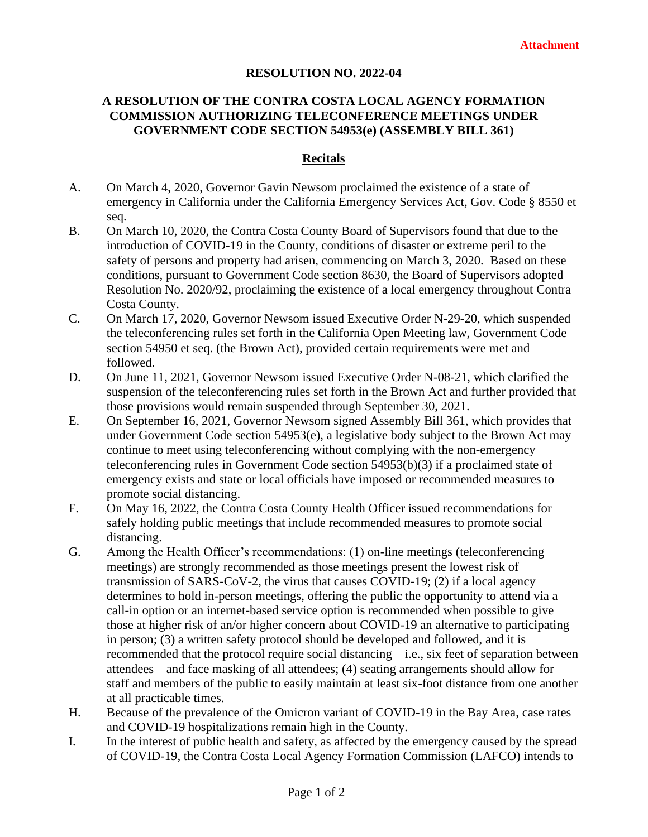## **RESOLUTION NO. 2022-04**

# **A RESOLUTION OF THE CONTRA COSTA LOCAL AGENCY FORMATION COMMISSION AUTHORIZING TELECONFERENCE MEETINGS UNDER GOVERNMENT CODE SECTION 54953(e) (ASSEMBLY BILL 361)**

## **Recitals**

- A. On March 4, 2020, Governor Gavin Newsom proclaimed the existence of a state of emergency in California under the California Emergency Services Act, Gov. Code § 8550 et seq.
- B. On March 10, 2020, the Contra Costa County Board of Supervisors found that due to the introduction of COVID-19 in the County, conditions of disaster or extreme peril to the safety of persons and property had arisen, commencing on March 3, 2020. Based on these conditions, pursuant to Government Code section 8630, the Board of Supervisors adopted Resolution No. 2020/92, proclaiming the existence of a local emergency throughout Contra Costa County.
- C. On March 17, 2020, Governor Newsom issued Executive Order N-29-20, which suspended the teleconferencing rules set forth in the California Open Meeting law, Government Code section 54950 et seq. (the Brown Act), provided certain requirements were met and followed.
- D. On June 11, 2021, Governor Newsom issued Executive Order N-08-21, which clarified the suspension of the teleconferencing rules set forth in the Brown Act and further provided that those provisions would remain suspended through September 30, 2021.
- E. On September 16, 2021, Governor Newsom signed Assembly Bill 361, which provides that under Government Code section 54953(e), a legislative body subject to the Brown Act may continue to meet using teleconferencing without complying with the non-emergency teleconferencing rules in Government Code section 54953(b)(3) if a proclaimed state of emergency exists and state or local officials have imposed or recommended measures to promote social distancing.
- F. On May 16, 2022, the Contra Costa County Health Officer issued recommendations for safely holding public meetings that include recommended measures to promote social distancing.
- G. Among the Health Officer's recommendations: (1) on-line meetings (teleconferencing meetings) are strongly recommended as those meetings present the lowest risk of transmission of SARS-CoV-2, the virus that causes COVID-19; (2) if a local agency determines to hold in-person meetings, offering the public the opportunity to attend via a call-in option or an internet-based service option is recommended when possible to give those at higher risk of an/or higher concern about COVID-19 an alternative to participating in person; (3) a written safety protocol should be developed and followed, and it is recommended that the protocol require social distancing – i.e., six feet of separation between attendees – and face masking of all attendees; (4) seating arrangements should allow for staff and members of the public to easily maintain at least six-foot distance from one another at all practicable times.
- H. Because of the prevalence of the Omicron variant of COVID-19 in the Bay Area, case rates and COVID-19 hospitalizations remain high in the County.
- I. In the interest of public health and safety, as affected by the emergency caused by the spread of COVID-19, the Contra Costa Local Agency Formation Commission (LAFCO) intends to